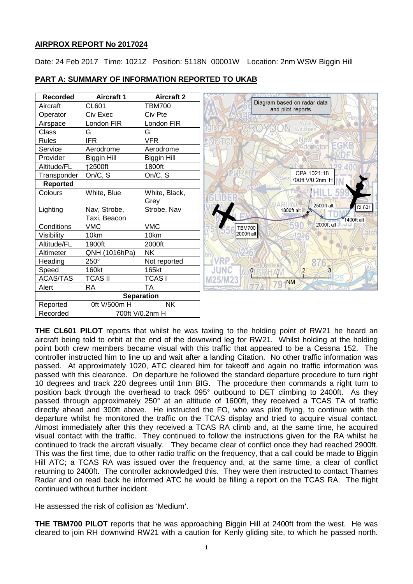# **AIRPROX REPORT No 2017024**

Date: 24 Feb 2017 Time: 1021Z Position: 5118N 00001W Location: 2nm WSW Biggin Hill

| <b>Recorded</b>   | <b>Aircraft 1</b>  | <b>Aircraft 2</b>  |                                                  |
|-------------------|--------------------|--------------------|--------------------------------------------------|
| Aircraft          | <b>CL601</b>       | <b>TBM700</b>      | Diagram based on radar data<br>and pilot reports |
| Operator          | Civ Exec           | Civ Pte            | Hay                                              |
| Airspace          | London FIR         | London FIR         | Wes                                              |
| Class             | G                  | G                  | Wickham                                          |
| <b>Rules</b>      | <b>IFR</b>         | <b>VFR</b>         |                                                  |
| Service           | Aerodrome          | Aerodrome          | EGKB<br>Addington                                |
| Provider          | <b>Biggin Hill</b> | <b>Biggin Hill</b> |                                                  |
| Altitude/FL       | ↑2500ft            | 1800ft             |                                                  |
| Transponder       | On/C, S            | On/C, S            | CPA 1021:18                                      |
| <b>Reported</b>   |                    |                    | 700ft V/0.2nm H<br>stood                         |
| Colours           | White, Blue        | White, Black,      |                                                  |
|                   |                    | Grey               | 2500ft alt                                       |
| Lighting          | Nav, Strobe,       | Strobe, Nav        | CL601<br>1800ft alt                              |
|                   | Taxi, Beacon       |                    | 1400ft alt                                       |
| Conditions        | <b>VMC</b>         | <b>VMC</b>         | 2000ft alt<br><b>TBM700</b>                      |
| Visibility        | 10km               | 10km               | 2000ft alt                                       |
| Altitude/FL       | 1900ft             | 2000ft             |                                                  |
| Altimeter         | QNH (1016hPa)      | <b>NK</b>          |                                                  |
| Heading           | 250°               | Not reported       |                                                  |
| Speed             | 160kt              | 165kt              | JUNC<br>$\overline{2}$<br>$\sqrt{0}$ .           |
| <b>ACAS/TAS</b>   | <b>TCAS II</b>     | <b>TCASI</b>       | <b>NM</b>                                        |
| Alert             | <b>RA</b>          | <b>TA</b>          | $\overline{g}$                                   |
| <b>Separation</b> |                    |                    |                                                  |
| Reported          | 0ft V/500m H       | <b>NK</b>          |                                                  |
| Recorded          | 700ft V/0.2nm H    |                    |                                                  |

# **PART A: SUMMARY OF INFORMATION REPORTED TO UKAB**

**THE CL601 PILOT** reports that whilst he was taxiing to the holding point of RW21 he heard an aircraft being told to orbit at the end of the downwind leg for RW21. Whilst holding at the holding point both crew members became visual with this traffic that appeared to be a Cessna 152. The controller instructed him to line up and wait after a landing Citation. No other traffic information was passed. At approximately 1020, ATC cleared him for takeoff and again no traffic information was passed with this clearance. On departure he followed the standard departure procedure to turn right 10 degrees and track 220 degrees until 1nm BIG. The procedure then commands a right turn to position back through the overhead to track 095° outbound to DET climbing to 2400ft. As they passed through approximately 250° at an altitude of 1600ft, they received a TCAS TA of traffic directly ahead and 300ft above. He instructed the FO, who was pilot flying, to continue with the departure whilst he monitored the traffic on the TCAS display and tried to acquire visual contact. Almost immediately after this they received a TCAS RA climb and, at the same time, he acquired visual contact with the traffic. They continued to follow the instructions given for the RA whilst he continued to track the aircraft visually. They became clear of conflict once they had reached 2900ft. This was the first time, due to other radio traffic on the frequency, that a call could be made to Biggin Hill ATC; a TCAS RA was issued over the frequency and, at the same time, a clear of conflict returning to 2400ft. The controller acknowledged this. They were then instructed to contact Thames Radar and on read back he informed ATC he would be filling a report on the TCAS RA. The flight continued without further incident.

He assessed the risk of collision as 'Medium'.

**THE TBM700 PILOT** reports that he was approaching Biggin Hill at 2400ft from the west. He was cleared to join RH downwind RW21 with a caution for Kenly gliding site, to which he passed north.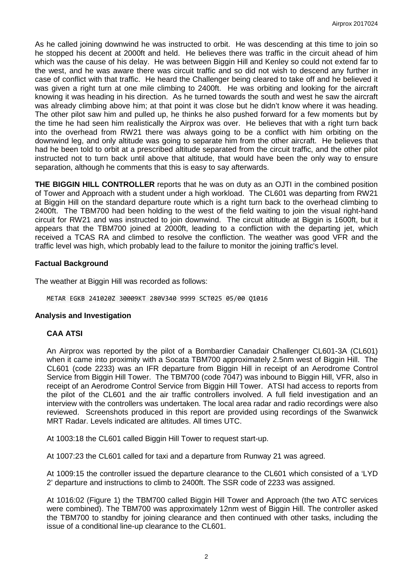As he called joining downwind he was instructed to orbit. He was descending at this time to join so he stopped his decent at 2000ft and held. He believes there was traffic in the circuit ahead of him which was the cause of his delay. He was between Biggin Hill and Kenley so could not extend far to the west, and he was aware there was circuit traffic and so did not wish to descend any further in case of conflict with that traffic. He heard the Challenger being cleared to take off and he believed it was given a right turn at one mile climbing to 2400ft. He was orbiting and looking for the aircraft knowing it was heading in his direction. As he turned towards the south and west he saw the aircraft was already climbing above him; at that point it was close but he didn't know where it was heading. The other pilot saw him and pulled up, he thinks he also pushed forward for a few moments but by the time he had seen him realistically the Airprox was over. He believes that with a right turn back into the overhead from RW21 there was always going to be a conflict with him orbiting on the downwind leg, and only altitude was going to separate him from the other aircraft. He believes that had he been told to orbit at a prescribed altitude separated from the circuit traffic, and the other pilot instructed not to turn back until above that altitude, that would have been the only way to ensure separation, although he comments that this is easy to say afterwards.

**THE BIGGIN HILL CONTROLLER** reports that he was on duty as an OJTI in the combined position of Tower and Approach with a student under a high workload. The CL601 was departing from RW21 at Biggin Hill on the standard departure route which is a right turn back to the overhead climbing to 2400ft. The TBM700 had been holding to the west of the field waiting to join the visual right-hand circuit for RW21 and was instructed to join downwind. The circuit altitude at Biggin is 1600ft, but it appears that the TBM700 joined at 2000ft, leading to a confliction with the departing jet, which received a TCAS RA and climbed to resolve the confliction. The weather was good VFR and the traffic level was high, which probably lead to the failure to monitor the joining traffic's level.

# **Factual Background**

The weather at Biggin Hill was recorded as follows:

METAR EGKB 241020Z 30009KT 280V340 9999 SCT025 05/00 Q1016

### **Analysis and Investigation**

# **CAA ATSI**

An Airprox was reported by the pilot of a Bombardier Canadair Challenger CL601-3A (CL601) when it came into proximity with a Socata TBM700 approximately 2.5nm west of Biggin Hill. The CL601 (code 2233) was an IFR departure from Biggin Hill in receipt of an Aerodrome Control Service from Biggin Hill Tower. The TBM700 (code 7047) was inbound to Biggin Hill, VFR, also in receipt of an Aerodrome Control Service from Biggin Hill Tower. ATSI had access to reports from the pilot of the CL601 and the air traffic controllers involved. A full field investigation and an interview with the controllers was undertaken. The local area radar and radio recordings were also reviewed. Screenshots produced in this report are provided using recordings of the Swanwick MRT Radar. Levels indicated are altitudes. All times UTC.

At 1003:18 the CL601 called Biggin Hill Tower to request start-up.

At 1007:23 the CL601 called for taxi and a departure from Runway 21 was agreed.

At 1009:15 the controller issued the departure clearance to the CL601 which consisted of a 'LYD 2' departure and instructions to climb to 2400ft. The SSR code of 2233 was assigned.

At 1016:02 (Figure 1) the TBM700 called Biggin Hill Tower and Approach (the two ATC services were combined). The TBM700 was approximately 12nm west of Biggin Hill. The controller asked the TBM700 to standby for joining clearance and then continued with other tasks, including the issue of a conditional line-up clearance to the CL601.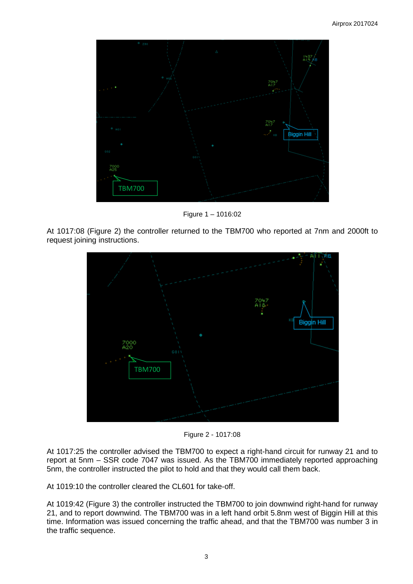

Figure 1 – 1016:02

At 1017:08 (Figure 2) the controller returned to the TBM700 who reported at 7nm and 2000ft to request joining instructions.



Figure 2 - 1017:08

At 1017:25 the controller advised the TBM700 to expect a right-hand circuit for runway 21 and to report at 5nm – SSR code 7047 was issued. As the TBM700 immediately reported approaching 5nm, the controller instructed the pilot to hold and that they would call them back.

At 1019:10 the controller cleared the CL601 for take-off.

At 1019:42 (Figure 3) the controller instructed the TBM700 to join downwind right-hand for runway 21, and to report downwind. The TBM700 was in a left hand orbit 5.8nm west of Biggin Hill at this time. Information was issued concerning the traffic ahead, and that the TBM700 was number 3 in the traffic sequence.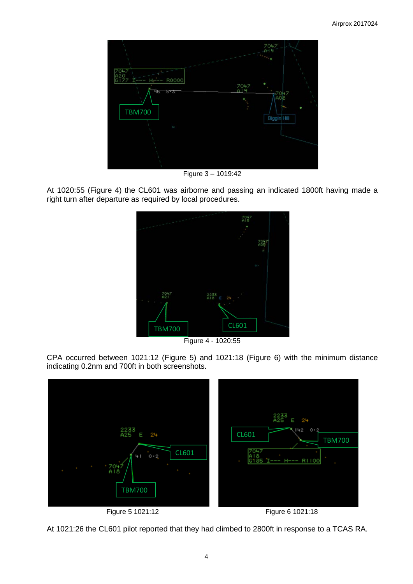

Figure 3 – 1019:42

At 1020:55 (Figure 4) the CL601 was airborne and passing an indicated 1800ft having made a right turn after departure as required by local procedures.



Figure 4 - 1020:55

CPA occurred between 1021:12 (Figure 5) and 1021:18 (Figure 6) with the minimum distance indicating 0.2nm and 700ft in both screenshots.





At 1021:26 the CL601 pilot reported that they had climbed to 2800ft in response to a TCAS RA.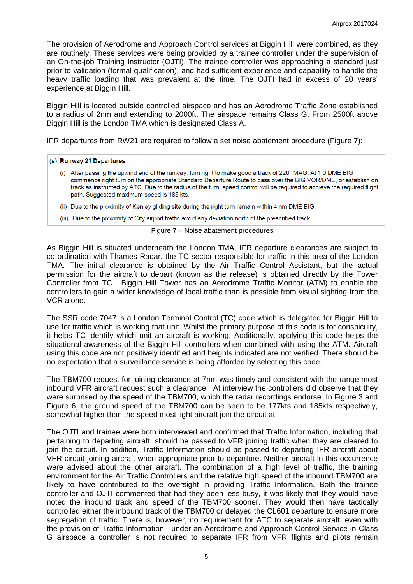The provision of Aerodrome and Approach Control services at Biggin Hill were combined, as they are routinely. These services were being provided by a trainee controller under the supervision of an On-the-job Training Instructor (OJTI). The trainee controller was approaching a standard just prior to validation (formal qualification), and had sufficient experience and capability to handle the heavy traffic loading that was prevalent at the time. The OJTI had in excess of 20 years' experience at Biggin Hill.

Biggin Hill is located outside controlled airspace and has an Aerodrome Traffic Zone established to a radius of 2nm and extending to 2000ft. The airspace remains Class G. From 2500ft above Biggin Hill is the London TMA which is designated Class A.

IFR departures from RW21 are required to follow a set noise abatement procedure (Figure 7):

#### (a) Runway 21 Departures

- (i) After passing the upwind end of the runway, turn right to make good a track of 220° MAG. At 1.0 DME BIG commence right turn on the appropriate Standard Departure Route to pass over the BIG VOR/DME, or establish on track as instructed by ATC. Due to the radius of the turn, speed control will be required to achieve the required flight path. Suggested maximum speed is 185 kts.
- (ii) Due to the proximity of Kenley gliding site during the right turn remain within 4 nm DME BIG.
- (iii) Due to the proximity of City airport traffic avoid any deviation north of the prescribed track.

#### Figure 7 – Noise abatement procedures

As Biggin Hill is situated underneath the London TMA, IFR departure clearances are subject to co-ordination with Thames Radar, the TC sector responsible for traffic in this area of the London TMA. The initial clearance is obtained by the Air Traffic Control Assistant, but the actual permission for the aircraft to depart (known as the release) is obtained directly by the Tower Controller from TC. Biggin Hill Tower has an Aerodrome Traffic Monitor (ATM) to enable the controllers to gain a wider knowledge of local traffic than is possible from visual sighting from the VCR alone.

The SSR code 7047 is a London Terminal Control (TC) code which is delegated for Biggin Hill to use for traffic which is working that unit. Whilst the primary purpose of this code is for conspicuity, it helps TC identify which unit an aircraft is working. Additionally, applying this code helps the situational awareness of the Biggin Hill controllers when combined with using the ATM. Aircraft using this code are not positively identified and heights indicated are not verified. There should be no expectation that a surveillance service is being afforded by selecting this code.

The TBM700 request for joining clearance at 7nm was timely and consistent with the range most inbound VFR aircraft request such a clearance. At interview the controllers did observe that they were surprised by the speed of the TBM700, which the radar recordings endorse. In Figure 3 and Figure 6, the ground speed of the TBM700 can be seen to be 177kts and 185kts respectively, somewhat higher than the speed most light aircraft join the circuit at.

The OJTI and trainee were both interviewed and confirmed that Traffic Information, including that pertaining to departing aircraft, should be passed to VFR joining traffic when they are cleared to join the circuit. In addition, Traffic Information should be passed to departing IFR aircraft about VFR circuit joining aircraft when appropriate prior to departure. Neither aircraft in this occurrence were advised about the other aircraft. The combination of a high level of traffic, the training environment for the Air Traffic Controllers and the relative high speed of the inbound TBM700 are likely to have contributed to the oversight in providing Traffic Information. Both the trainee controller and OJTI commented that had they been less busy, it was likely that they would have noted the inbound track and speed of the TBM700 sooner. They would then have tactically controlled either the inbound track of the TBM700 or delayed the CL601 departure to ensure more segregation of traffic. There is, however, no requirement for ATC to separate aircraft, even with the provision of Traffic Information - under an Aerodrome and Approach Control Service in Class G airspace a controller is not required to separate IFR from VFR flights and pilots remain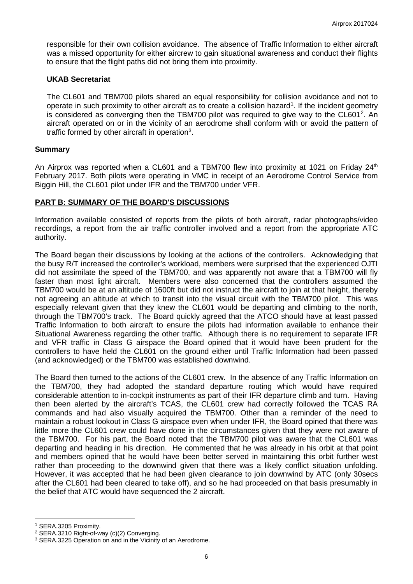responsible for their own collision avoidance. The absence of Traffic Information to either aircraft was a missed opportunity for either aircrew to gain situational awareness and conduct their flights to ensure that the flight paths did not bring them into proximity.

### **UKAB Secretariat**

The CL601 and TBM700 pilots shared an equal responsibility for collision avoidance and not to operate in such proximity to other aircraft as to create a collision hazard<sup>[1](#page-5-0)</sup>. If the incident geometry is considered as converging then the TBM700 pilot was required to give way to the CL601<sup>[2](#page-5-1)</sup>. An aircraft operated on or in the vicinity of an aerodrome shall conform with or avoid the pattern of traffic formed by other aircraft in operation<sup>[3](#page-5-2)</sup>.

## **Summary**

An Airprox was reported when a CL601 and a TBM700 flew into proximity at 1021 on Friday  $24<sup>th</sup>$ February 2017. Both pilots were operating in VMC in receipt of an Aerodrome Control Service from Biggin Hill, the CL601 pilot under IFR and the TBM700 under VFR.

## **PART B: SUMMARY OF THE BOARD'S DISCUSSIONS**

Information available consisted of reports from the pilots of both aircraft, radar photographs/video recordings, a report from the air traffic controller involved and a report from the appropriate ATC authority.

The Board began their discussions by looking at the actions of the controllers. Acknowledging that the busy R/T increased the controller's workload, members were surprised that the experienced OJTI did not assimilate the speed of the TBM700, and was apparently not aware that a TBM700 will fly faster than most light aircraft. Members were also concerned that the controllers assumed the TBM700 would be at an altitude of 1600ft but did not instruct the aircraft to join at that height, thereby not agreeing an altitude at which to transit into the visual circuit with the TBM700 pilot. This was especially relevant given that they knew the CL601 would be departing and climbing to the north, through the TBM700's track. The Board quickly agreed that the ATCO should have at least passed Traffic Information to both aircraft to ensure the pilots had information available to enhance their Situational Awareness regarding the other traffic. Although there is no requirement to separate IFR and VFR traffic in Class G airspace the Board opined that it would have been prudent for the controllers to have held the CL601 on the ground either until Traffic Information had been passed (and acknowledged) or the TBM700 was established downwind.

The Board then turned to the actions of the CL601 crew. In the absence of any Traffic Information on the TBM700, they had adopted the standard departure routing which would have required considerable attention to in-cockpit instruments as part of their IFR departure climb and turn. Having then been alerted by the aircraft's TCAS, the CL601 crew had correctly followed the TCAS RA commands and had also visually acquired the TBM700. Other than a reminder of the need to maintain a robust lookout in Class G airspace even when under IFR, the Board opined that there was little more the CL601 crew could have done in the circumstances given that they were not aware of the TBM700. For his part, the Board noted that the TBM700 pilot was aware that the CL601 was departing and heading in his direction. He commented that he was already in his orbit at that point and members opined that he would have been better served in maintaining this orbit further west rather than proceeding to the downwind given that there was a likely conflict situation unfolding. However, it was accepted that he had been given clearance to join downwind by ATC (only 30secs after the CL601 had been cleared to take off), and so he had proceeded on that basis presumably in the belief that ATC would have sequenced the 2 aircraft.

 $\overline{\phantom{a}}$ 

<span id="page-5-0"></span><sup>1</sup> SERA.3205 Proximity.

<span id="page-5-1"></span><sup>2</sup> SERA.3210 Right-of-way (c)(2) Converging.

<span id="page-5-2"></span><sup>&</sup>lt;sup>3</sup> SERA.3225 Operation on and in the Vicinity of an Aerodrome.